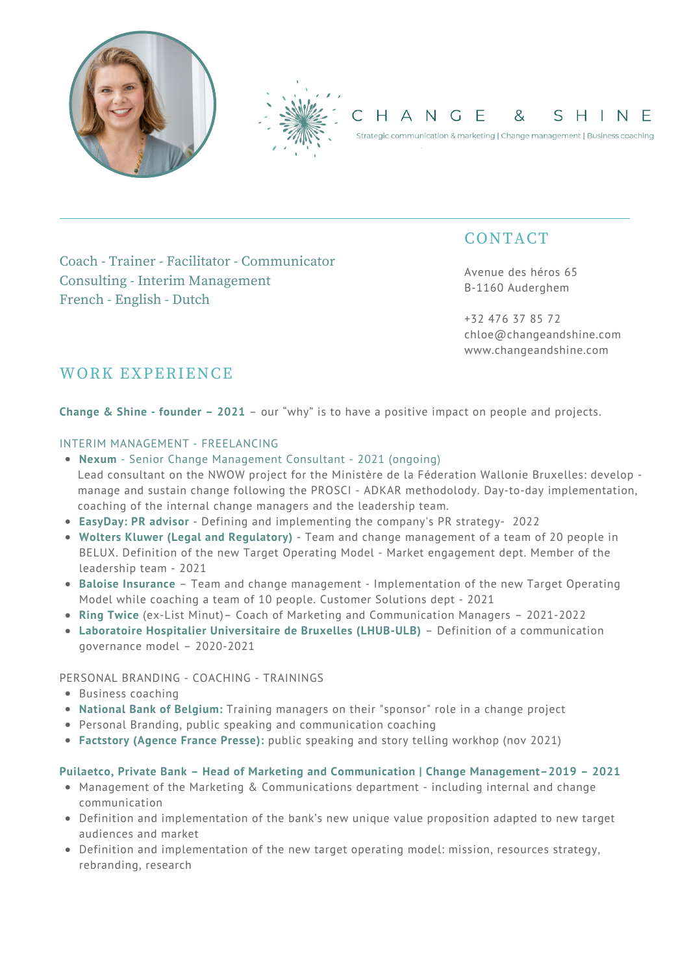

# **CONTACT**

Avenue des héros 65 B-1160 Auderghem

+32 476 37 85 72 chloe@changeandshine.com www.changeandshine.com

# Coach - Trainer - Facilitator - Communicator Consulting - Interim Management French - English - Dutch

# WORK EXPERIENCE

**Change & Shine - founder – 2021** – our "why" is to have a positive impact on people and projects.

# INTERIM MANAGEMENT - FREELANCING

- **Nexum** Senior Change Management Consultant 2021 (ongoing) Lead consultant on the NWOW project for the Ministère de la Féderation Wallonie Bruxelles: develop manage and sustain change following the PROSCI - ADKAR methodolody. Day-to-day implementation, coaching of the internal change managers and the leadership team.
- **EasyDay: PR advisor** Defining and implementing the company's PR strategy- 2022
- **Wolters Kluwer (Legal and Regulatory)** Team and change management of a team of 20 people in BELUX. Definition of the new Target Operating Model - Market engagement dept. Member of the leadership team - 2021
- **Baloise Insurance** Team and change management Implementation of the new Target Operating Model while coaching a team of 10 people. Customer Solutions dept - 2021
- **Ring Twice** (ex-List Minut)– Coach of Marketing and Communication Managers 2021-2022
- **Laboratoire Hospitalier Universitaire de Bruxelles (LHUB-ULB)** Definition of a communication governance model – 2020-2021

## PERSONAL BRANDING - COACHING - TRAININGS

- Business coaching
- **National Bank of Belgium:** Training managers on their "sponsor" role in a change project
- Personal Branding, public speaking and communication coaching
- **Factstory (Agence France Presse):** public speaking and story telling workhop (nov 2021)

## **Puilaetco, Private Bank – Head of Marketing and Communication | Change Management–2019 – 2021**

- Management of the Marketing & Communications department including internal and change communication
- Definition and implementation of the bank's new unique value proposition adapted to new target audiences and market
- Definition and implementation of the new target operating model: mission, resources strategy, rebranding, research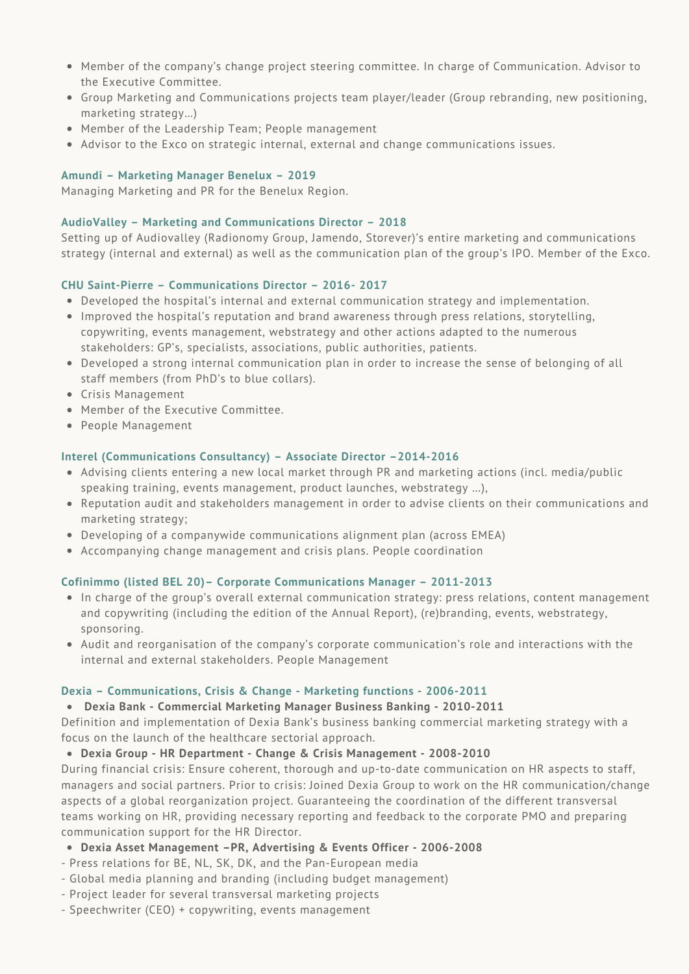- Member of the company's change project steering committee. In charge of Communication. Advisor to the Executive Committee.
- Group Marketing and Communications projects team player/leader (Group rebranding, new positioning, marketing strategy…)
- Member of the Leadership Team; People management
- Advisor to the Exco on strategic internal, external and change communications issues.

## **Amundi – Marketing Manager Benelux – 2019**

Managing Marketing and PR for the Benelux Region.

## **AudioValley – Marketing and Communications Director – 2018**

Setting up of Audiovalley (Radionomy Group, Jamendo, Storever)'s entire marketing and communications strategy (internal and external) as well as the communication plan of the group's IPO. Member of the Exco.

## **CHU Saint-Pierre – Communications Director – 2016- 2017**

- Developed the hospital's internal and external communication strategy and implementation.
- Improved the hospital's reputation and brand awareness through press relations, storytelling, copywriting, events management, webstrategy and other actions adapted to the numerous stakeholders: GP's, specialists, associations, public authorities, patients.
- Developed a strong internal communication plan in order to increase the sense of belonging of all staff members (from PhD's to blue collars).
- Crisis Management
- Member of the Executive Committee.
- People Management

## **Interel (Communications Consultancy) – Associate Director –2014-2016**

- Advising clients entering a new local market through PR and marketing actions (incl. media/public speaking training, events management, product launches, webstrategy …),
- Reputation audit and stakeholders management in order to advise clients on their communications and marketing strategy;
- Developing of a companywide communications alignment plan (across EMEA)
- Accompanying change management and crisis plans. People coordination

## **Cofinimmo (listed BEL 20)– Corporate Communications Manager – 2011-2013**

- In charge of the group's overall external communication strategy: press relations, content management and copywriting (including the edition of the Annual Report), (re)branding, events, webstrategy, sponsoring.
- Audit and reorganisation of the company's corporate communication's role and interactions with the internal and external stakeholders. People Management

## **Dexia – Communications, Crisis & Change - Marketing functions - 2006-2011**

## **Dexia Bank - Commercial Marketing Manager Business Banking - 2010-2011**

Definition and implementation of Dexia Bank's business banking commercial marketing strategy with a focus on the launch of the healthcare sectorial approach.

## **Dexia Group - HR Department - Change & Crisis Management - 2008-2010**

During financial crisis: Ensure coherent, thorough and up-to-date communication on HR aspects to staff, managers and social partners. Prior to crisis: Joined Dexia Group to work on the HR communication/change aspects of a global reorganization project. Guaranteeing the coordination of the different transversal teams working on HR, providing necessary reporting and feedback to the corporate PMO and preparing communication support for the HR Director.

- **Dexia Asset Management –PR, Advertising & Events Officer - 2006-2008**
- Press relations for BE, NL, SK, DK, and the Pan-European media
- Global media planning and branding (including budget management)
- Project leader for several transversal marketing projects
- Speechwriter (CEO) + copywriting, events management